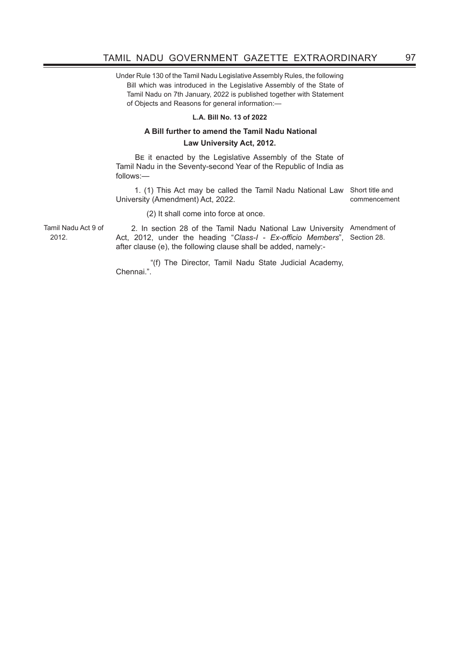Under Rule 130 of the Tamil Nadu Legislative Assembly Rules, the following Bill which was introduced in the Legislative Assembly of the State of Tamil Nadu on 7th January, 2022 is published together with Statement of Objects and Reasons for general information:—

## **L.A. Bill No. 13 of 2022**

## **A Bill further to amend the Tamil Nadu National Law University Act, 2012.**

BE it enacted by the Legislative Assembly of the State of Tamil Nadu in the Seventy-second Year of the Republic of India as follows:—

 1. (1) This Act may be called the Tamil Nadu National Law Short title and University (Amendment) Act, 2022. commencement

(2) It shall come into force at once.

Tamil Nadu Act 9 of 2012.

2. In section 28 of the Tamil Nadu National Law University Amendment of Act, 2012, under the heading "Class-I - Ex-officio Members", Section 28. after clause (e), the following clause shall be added, namely:-

 "(f) The Director, Tamil Nadu State Judicial Academy, Chennai.".